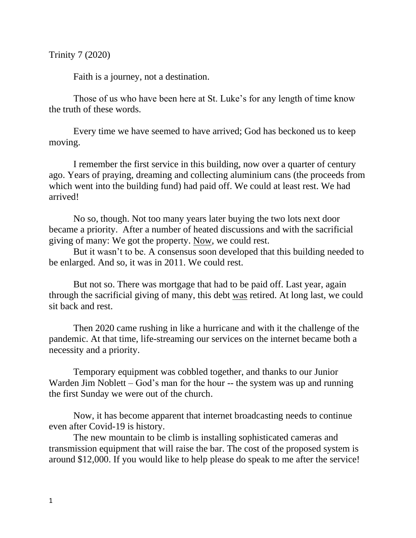Trinity 7 (2020)

Faith is a journey, not a destination.

Those of us who have been here at St. Luke's for any length of time know the truth of these words.

Every time we have seemed to have arrived; God has beckoned us to keep moving.

I remember the first service in this building, now over a quarter of century ago. Years of praying, dreaming and collecting aluminium cans (the proceeds from which went into the building fund) had paid off. We could at least rest. We had arrived!

No so, though. Not too many years later buying the two lots next door became a priority. After a number of heated discussions and with the sacrificial giving of many: We got the property. Now, we could rest.

But it wasn't to be. A consensus soon developed that this building needed to be enlarged. And so, it was in 2011. We could rest.

But not so. There was mortgage that had to be paid off. Last year, again through the sacrificial giving of many, this debt was retired. At long last, we could sit back and rest.

Then 2020 came rushing in like a hurricane and with it the challenge of the pandemic. At that time, life-streaming our services on the internet became both a necessity and a priority.

Temporary equipment was cobbled together, and thanks to our Junior Warden Jim Noblett – God's man for the hour -- the system was up and running the first Sunday we were out of the church.

Now, it has become apparent that internet broadcasting needs to continue even after Covid-19 is history.

The new mountain to be climb is installing sophisticated cameras and transmission equipment that will raise the bar. The cost of the proposed system is around \$12,000. If you would like to help please do speak to me after the service!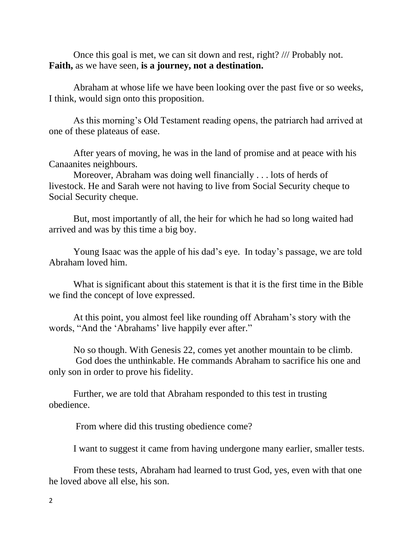Once this goal is met, we can sit down and rest, right? /// Probably not. **Faith,** as we have seen, **is a journey, not a destination.**

Abraham at whose life we have been looking over the past five or so weeks, I think, would sign onto this proposition.

As this morning's Old Testament reading opens, the patriarch had arrived at one of these plateaus of ease.

After years of moving, he was in the land of promise and at peace with his Canaanites neighbours.

Moreover, Abraham was doing well financially . . . lots of herds of livestock. He and Sarah were not having to live from Social Security cheque to Social Security cheque.

But, most importantly of all, the heir for which he had so long waited had arrived and was by this time a big boy.

Young Isaac was the apple of his dad's eye. In today's passage, we are told Abraham loved him.

What is significant about this statement is that it is the first time in the Bible we find the concept of love expressed.

At this point, you almost feel like rounding off Abraham's story with the words, "And the 'Abrahams' live happily ever after."

No so though. With Genesis 22, comes yet another mountain to be climb. God does the unthinkable. He commands Abraham to sacrifice his one and only son in order to prove his fidelity.

Further, we are told that Abraham responded to this test in trusting obedience.

From where did this trusting obedience come?

I want to suggest it came from having undergone many earlier, smaller tests.

From these tests, Abraham had learned to trust God, yes, even with that one he loved above all else, his son.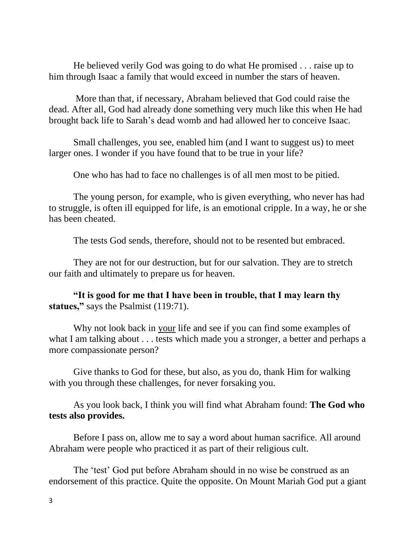He believed verily God was going to do what He promised . . . raise up to him through Isaac a family that would exceed in number the stars of heaven.

More than that, if necessary, Abraham believed that God could raise the dead. After all, God had already done something very much like this when He had brought back life to Sarah's dead womb and had allowed her to conceive Isaac.

Small challenges, you see, enabled him (and I want to suggest us) to meet larger ones. I wonder if you have found that to be true in your life?

One who has had to face no challenges is of all men most to be pitied.

The young person, for example, who is given everything, who never has had to struggle, is often ill equipped for life, is an emotional cripple. In a way, he or she has been cheated.

The tests God sends, therefore, should not to be resented but embraced.

They are not for our destruction, but for our salvation. They are to stretch our faith and ultimately to prepare us for heaven.

**"It is good for me that I have been in trouble, that I may learn thy**  statues," says the Psalmist (119:71).

Why not look back in your life and see if you can find some examples of what I am talking about . . . tests which made you a stronger, a better and perhaps a more compassionate person?

Give thanks to God for these, but also, as you do, thank Him for walking with you through these challenges, for never forsaking you.

As you look back, I think you will find what Abraham found: **The God who tests also provides.** 

Before I pass on, allow me to say a word about human sacrifice. All around Abraham were people who practiced it as part of their religious cult.

The 'test' God put before Abraham should in no wise be construed as an endorsement of this practice. Quite the opposite. On Mount Mariah God put a giant